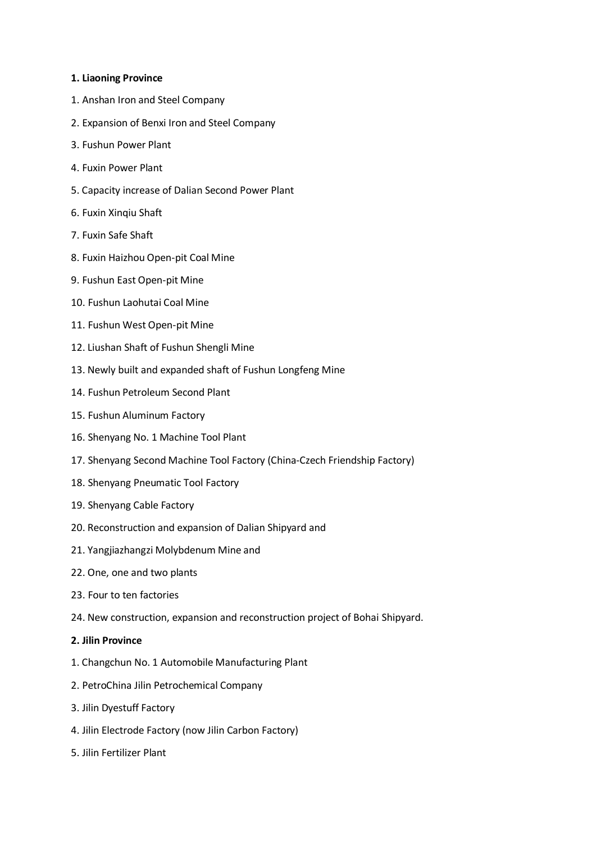## **1. Liaoning Province**

- 1. Anshan Iron and Steel Company
- 2. Expansion of Benxi Iron and Steel Company
- 3. Fushun Power Plant
- 4. Fuxin Power Plant
- 5. Capacity increase of Dalian Second Power Plant
- 6. Fuxin Xinqiu Shaft
- 7. Fuxin Safe Shaft
- 8. Fuxin Haizhou Open-pit Coal Mine
- 9. Fushun East Open-pit Mine
- 10. Fushun Laohutai Coal Mine
- 11. Fushun West Open-pit Mine
- 12. Liushan Shaft of Fushun Shengli Mine
- 13. Newly built and expanded shaft of Fushun Longfeng Mine
- 14. Fushun Petroleum Second Plant
- 15. Fushun Aluminum Factory
- 16. Shenyang No. 1 Machine Tool Plant
- 17. Shenyang Second Machine Tool Factory (China-Czech Friendship Factory)
- 18. Shenyang Pneumatic Tool Factory
- 19. Shenyang Cable Factory
- 20. Reconstruction and expansion of Dalian Shipyard and
- 21. Yangjiazhangzi Molybdenum Mine and
- 22. One, one and two plants
- 23. Four to ten factories
- 24. New construction, expansion and reconstruction project of Bohai Shipyard.

## **2. Jilin Province**

- 1. Changchun No. 1 Automobile Manufacturing Plant
- 2. PetroChina Jilin Petrochemical Company
- 3. Jilin Dyestuff Factory
- 4. Jilin Electrode Factory (now Jilin Carbon Factory)
- 5. Jilin Fertilizer Plant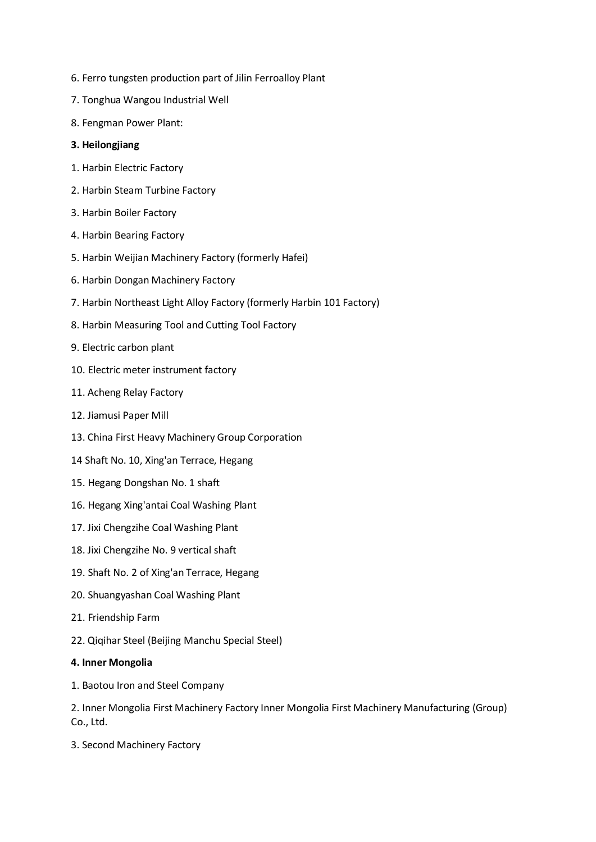- 6. Ferro tungsten production part of Jilin Ferroalloy Plant
- 7. Tonghua Wangou Industrial Well
- 8. Fengman Power Plant:

# **3. Heilongjiang**

- 1. Harbin Electric Factory
- 2. Harbin Steam Turbine Factory
- 3. Harbin Boiler Factory
- 4. Harbin Bearing Factory
- 5. Harbin Weijian Machinery Factory (formerly Hafei)
- 6. Harbin Dongan Machinery Factory
- 7. Harbin Northeast Light Alloy Factory (formerly Harbin 101 Factory)
- 8. Harbin Measuring Tool and Cutting Tool Factory
- 9. Electric carbon plant
- 10. Electric meter instrument factory
- 11. Acheng Relay Factory
- 12. Jiamusi Paper Mill
- 13. China First Heavy Machinery Group Corporation
- 14 Shaft No. 10, Xing'an Terrace, Hegang
- 15. Hegang Dongshan No. 1 shaft
- 16. Hegang Xing'antai Coal Washing Plant
- 17. Jixi Chengzihe Coal Washing Plant
- 18. Jixi Chengzihe No. 9 vertical shaft
- 19. Shaft No. 2 of Xing'an Terrace, Hegang
- 20. Shuangyashan Coal Washing Plant
- 21. Friendship Farm
- 22. Qiqihar Steel (Beijing Manchu Special Steel)

## **4. Inner Mongolia**

1. Baotou Iron and Steel Company

2. Inner Mongolia First Machinery Factory Inner Mongolia First Machinery Manufacturing (Group) Co., Ltd.

3. Second Machinery Factory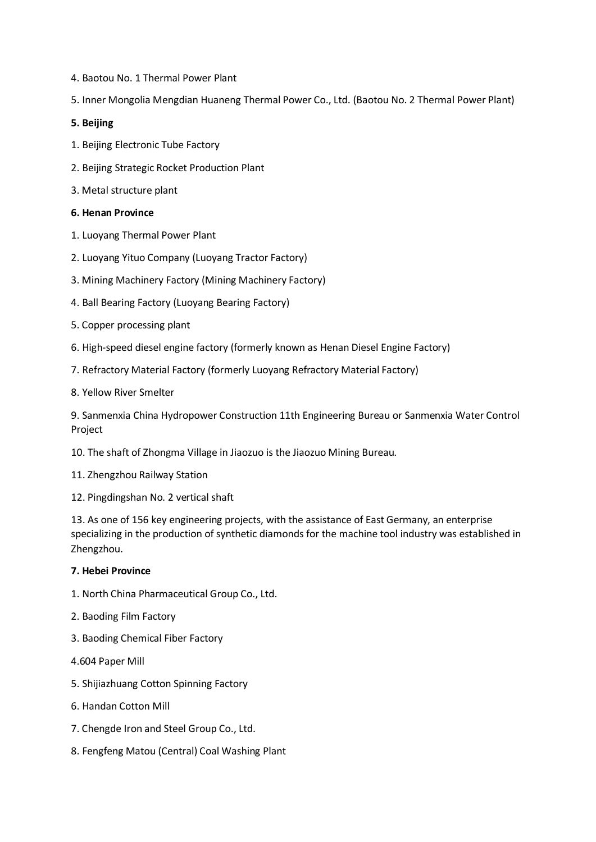- 4. Baotou No. 1 Thermal Power Plant
- 5. Inner Mongolia Mengdian Huaneng Thermal Power Co., Ltd. (Baotou No. 2 Thermal Power Plant)

# **5. Beijing**

- 1. Beijing Electronic Tube Factory
- 2. Beijing Strategic Rocket Production Plant
- 3. Metal structure plant

## **6. Henan Province**

- 1. Luoyang Thermal Power Plant
- 2. Luoyang Yituo Company (Luoyang Tractor Factory)
- 3. Mining Machinery Factory (Mining Machinery Factory)
- 4. Ball Bearing Factory (Luoyang Bearing Factory)
- 5. Copper processing plant
- 6. High-speed diesel engine factory (formerly known as Henan Diesel Engine Factory)
- 7. Refractory Material Factory (formerly Luoyang Refractory Material Factory)
- 8. Yellow River Smelter

9. Sanmenxia China Hydropower Construction 11th Engineering Bureau or Sanmenxia Water Control Project

- 10. The shaft of Zhongma Village in Jiaozuo is the Jiaozuo Mining Bureau.
- 11. Zhengzhou Railway Station
- 12. Pingdingshan No. 2 vertical shaft

13. As one of 156 key engineering projects, with the assistance of East Germany, an enterprise specializing in the production of synthetic diamonds for the machine tool industry was established in Zhengzhou.

# **7. Hebei Province**

- 1. North China Pharmaceutical Group Co., Ltd.
- 2. Baoding Film Factory
- 3. Baoding Chemical Fiber Factory
- 4.604 Paper Mill
- 5. Shijiazhuang Cotton Spinning Factory
- 6. Handan Cotton Mill
- 7. Chengde Iron and Steel Group Co., Ltd.
- 8. Fengfeng Matou (Central) Coal Washing Plant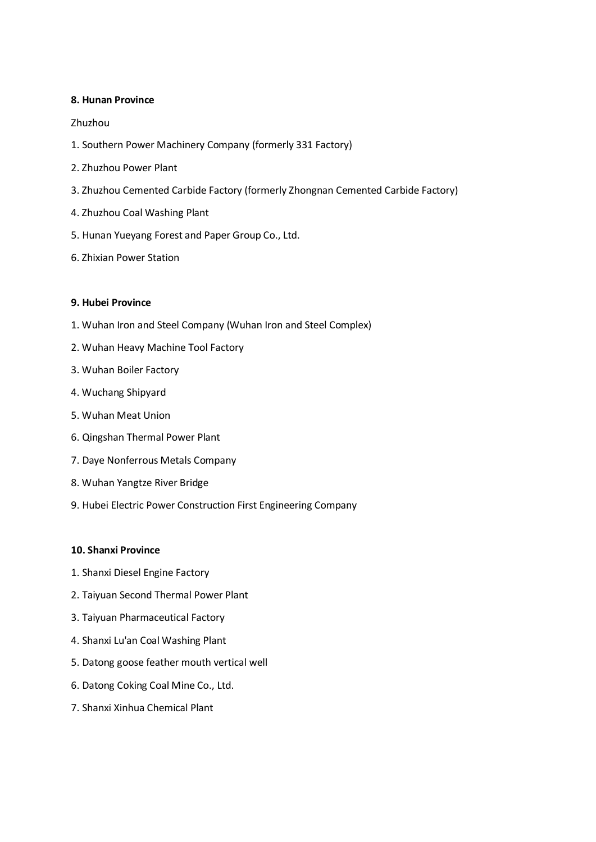## **8. Hunan Province**

## Zhuzhou

- 1. Southern Power Machinery Company (formerly 331 Factory)
- 2. Zhuzhou Power Plant
- 3. Zhuzhou Cemented Carbide Factory (formerly Zhongnan Cemented Carbide Factory)
- 4. Zhuzhou Coal Washing Plant
- 5. Hunan Yueyang Forest and Paper Group Co., Ltd.
- 6. Zhixian Power Station

## **9. Hubei Province**

- 1. Wuhan Iron and Steel Company (Wuhan Iron and Steel Complex)
- 2. Wuhan Heavy Machine Tool Factory
- 3. Wuhan Boiler Factory
- 4. Wuchang Shipyard
- 5. Wuhan Meat Union
- 6. Qingshan Thermal Power Plant
- 7. Daye Nonferrous Metals Company
- 8. Wuhan Yangtze River Bridge
- 9. Hubei Electric Power Construction First Engineering Company

#### **10. Shanxi Province**

- 1. Shanxi Diesel Engine Factory
- 2. Taiyuan Second Thermal Power Plant
- 3. Taiyuan Pharmaceutical Factory
- 4. Shanxi Lu'an Coal Washing Plant
- 5. Datong goose feather mouth vertical well
- 6. Datong Coking Coal Mine Co., Ltd.
- 7. Shanxi Xinhua Chemical Plant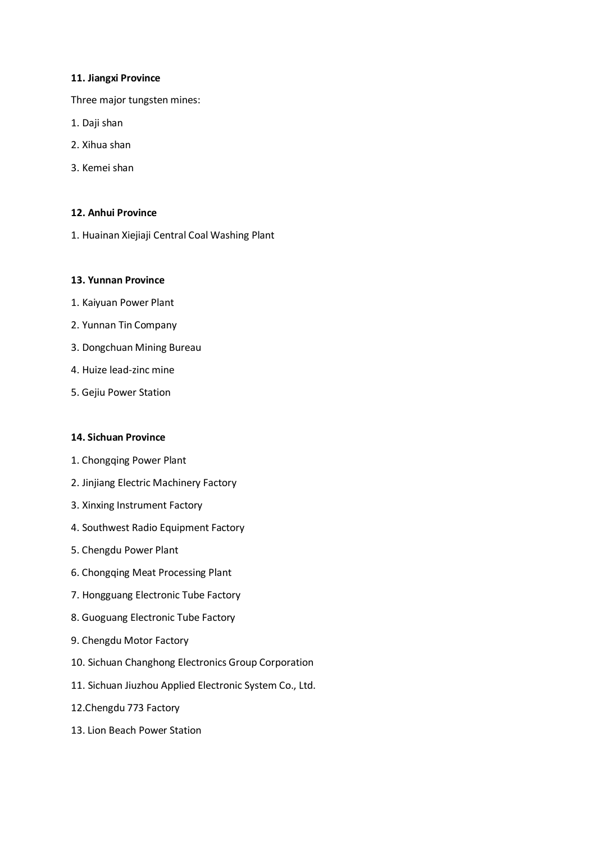#### **11. Jiangxi Province**

Three major tungsten mines:

- 1. Daji shan
- 2. Xihua shan
- 3. Kemei shan

## **12. Anhui Province**

1. Huainan Xiejiaji Central Coal Washing Plant

# **13. Yunnan Province**

- 1. Kaiyuan Power Plant
- 2. Yunnan Tin Company
- 3. Dongchuan Mining Bureau
- 4. Huize lead-zinc mine
- 5. Gejiu Power Station

## **14. Sichuan Province**

- 1. Chongqing Power Plant
- 2. Jinjiang Electric Machinery Factory
- 3. Xinxing Instrument Factory
- 4. Southwest Radio Equipment Factory
- 5. Chengdu Power Plant
- 6. Chongqing Meat Processing Plant
- 7. Hongguang Electronic Tube Factory
- 8. Guoguang Electronic Tube Factory
- 9. Chengdu Motor Factory
- 10. Sichuan Changhong Electronics Group Corporation
- 11. Sichuan Jiuzhou Applied Electronic System Co., Ltd.
- 12.Chengdu 773 Factory
- 13. Lion Beach Power Station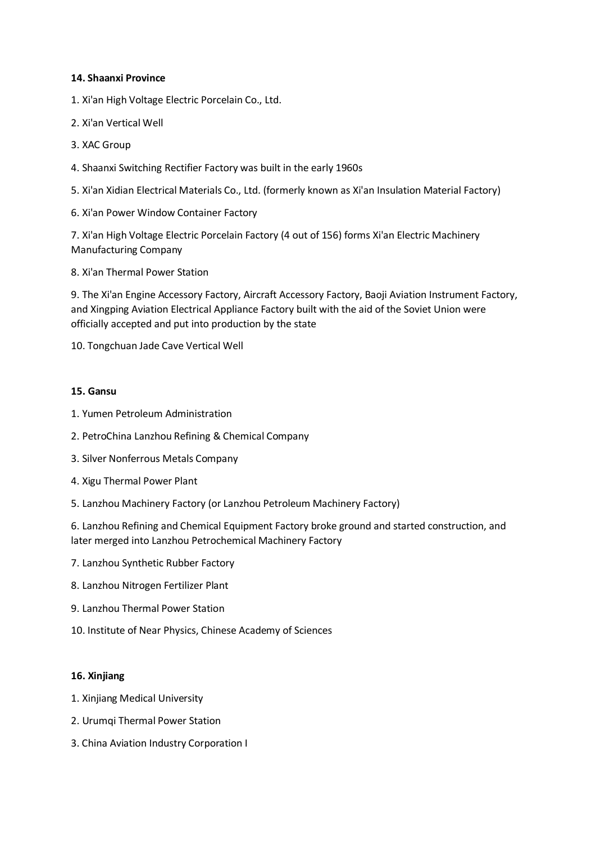## **14. Shaanxi Province**

- 1. Xi'an High Voltage Electric Porcelain Co., Ltd.
- 2. Xi'an Vertical Well
- 3. XAC Group
- 4. Shaanxi Switching Rectifier Factory was built in the early 1960s
- 5. Xi'an Xidian Electrical Materials Co., Ltd. (formerly known as Xi'an Insulation Material Factory)
- 6. Xi'an Power Window Container Factory

7. Xi'an High Voltage Electric Porcelain Factory (4 out of 156) forms Xi'an Electric Machinery Manufacturing Company

8. Xi'an Thermal Power Station

9. The Xi'an Engine Accessory Factory, Aircraft Accessory Factory, Baoji Aviation Instrument Factory, and Xingping Aviation Electrical Appliance Factory built with the aid of the Soviet Union were officially accepted and put into production by the state

10. Tongchuan Jade Cave Vertical Well

## **15. Gansu**

- 1. Yumen Petroleum Administration
- 2. PetroChina Lanzhou Refining & Chemical Company
- 3. Silver Nonferrous Metals Company
- 4. Xigu Thermal Power Plant
- 5. Lanzhou Machinery Factory (or Lanzhou Petroleum Machinery Factory)

6. Lanzhou Refining and Chemical Equipment Factory broke ground and started construction, and later merged into Lanzhou Petrochemical Machinery Factory

- 7. Lanzhou Synthetic Rubber Factory
- 8. Lanzhou Nitrogen Fertilizer Plant
- 9. Lanzhou Thermal Power Station
- 10. Institute of Near Physics, Chinese Academy of Sciences

## **16. Xinjiang**

- 1. Xinjiang Medical University
- 2. Urumqi Thermal Power Station
- 3. China Aviation Industry Corporation I